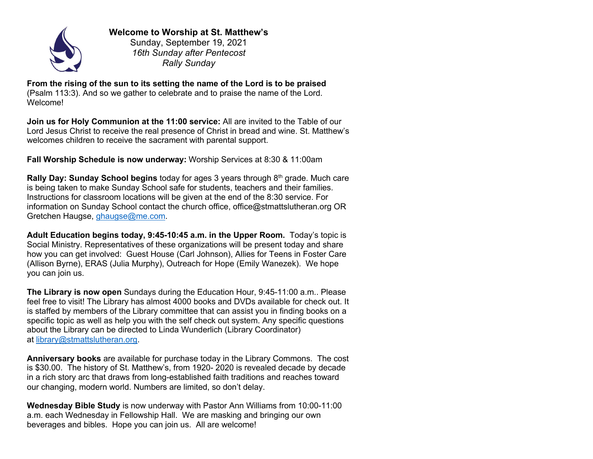

**Welcome to Worship at St. Matthew's** Sunday, September 19, 2021

*16th Sunday after Pentecost Rally Sunday*

**From the rising of the sun to its setting the name of the Lord is to be praised**  (Psalm 113:3). And so we gather to celebrate and to praise the name of the Lord. Welcome!

**Join us for Holy Communion at the 11:00 service:** All are invited to the Table of our Lord Jesus Christ to receive the real presence of Christ in bread and wine. St. Matthew's welcomes children to receive the sacrament with parental support.

**Fall Worship Schedule is now underway:** Worship Services at 8:30 & 11:00am

**Rally Day: Sunday School begins** today for ages 3 years through 8<sup>th</sup> grade. Much care is being taken to make Sunday School safe for students, teachers and their families. Instructions for classroom locations will be given at the end of the 8:30 service. For information on Sunday School contact the church office, office@stmattslutheran.org OR Gretchen Haugse, ghaugse@me.com.

**Adult Education begins today, 9:45-10:45 a.m. in the Upper Room.** Today's topic is Social Ministry. Representatives of these organizations will be present today and share how you can get involved: Guest House (Carl Johnson), Allies for Teens in Foster Care (Allison Byrne), ERAS (Julia Murphy), Outreach for Hope (Emily Wanezek). We hope you can join us.

**The Library is now open** Sundays during the Education Hour, 9:45-11:00 a.m.. Please feel free to visit! The Library has almost 4000 books and DVDs available for check out. It is staffed by members of the Library committee that can assist you in finding books on a specific topic as well as help you with the self check out system. Any specific questions about the Library can be directed to Linda Wunderlich (Library Coordinator) at library@stmattslutheran.org.

**Anniversary books** are available for purchase today in the Library Commons. The cost is \$30.00. The history of St. Matthew's, from 1920- 2020 is revealed decade by decade in a rich story arc that draws from long-established faith traditions and reaches toward our changing, modern world. Numbers are limited, so don't delay.

**Wednesday Bible Study** is now underway with Pastor Ann Williams from 10:00-11:00 a.m. each Wednesday in Fellowship Hall. We are masking and bringing our own beverages and bibles. Hope you can join us. All are welcome!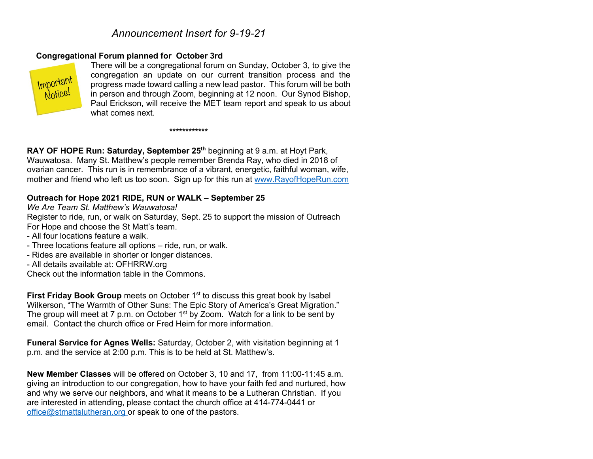# *Announcement Insert for 9-19-21*

### **Congregational Forum planned for October 3rd**



There will be a congregational forum on Sunday, October 3, to give the congregation an update on our current transition process and the progress made toward calling a new lead pastor. This forum will be both in person and through Zoom, beginning at 12 noon. Our Synod Bishop, Paul Erickson, will receive the MET team report and speak to us about what comes next.

#### **\*\*\*\*\*\*\*\*\*\*\*\***

**RAY OF HOPE Run: Saturday, September 25th** beginning at 9 a.m. at Hoyt Park, Wauwatosa. Many St. Matthew's people remember Brenda Ray, who died in 2018 of ovarian cancer. This run is in remembrance of a vibrant, energetic, faithful woman, wife, mother and friend who left us too soon. Sign up for this run at www.RayofHopeRun.com

#### **Outreach for Hope 2021 RIDE, RUN or WALK – September 25**

*We Are Team St. Matthew's Wauwatosa!*

Register to ride, run, or walk on Saturday, Sept. 25 to support the mission of Outreach For Hope and choose the St Matt's team.

- All four locations feature a walk.
- Three locations feature all options ride, run, or walk.
- Rides are available in shorter or longer distances.
- All details available at: OFHRRW.org

Check out the information table in the Commons.

**First Friday Book Group** meets on October 1<sup>st</sup> to discuss this great book by Isabel Wilkerson, "The Warmth of Other Suns: The Epic Story of America's Great Migration." The group will meet at 7 p.m. on October 1<sup>st</sup> by Zoom. Watch for a link to be sent by email. Contact the church office or Fred Heim for more information.

**Funeral Service for Agnes Wells:** Saturday, October 2, with visitation beginning at 1 p.m. and the service at 2:00 p.m. This is to be held at St. Matthew's.

**New Member Classes** will be offered on October 3, 10 and 17, from 11:00-11:45 a.m. giving an introduction to our congregation, how to have your faith fed and nurtured, how and why we serve our neighbors, and what it means to be a Lutheran Christian. If you are interested in attending, please contact the church office at 414-774-0441 or office@stmattslutheran.org or speak to one of the pastors.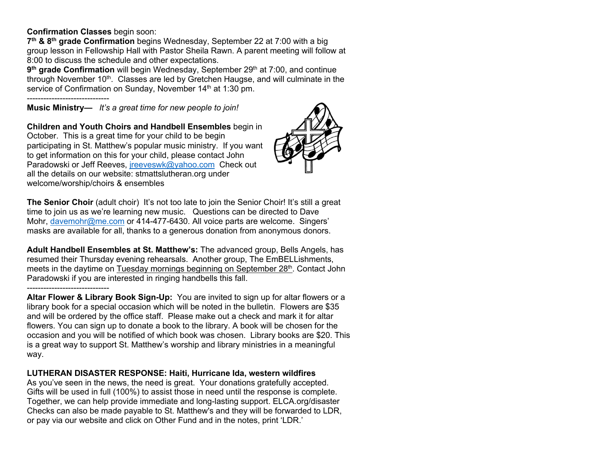#### **Confirmation Classes** begin soon:

**7th & 8th grade Confirmation** begins Wednesday, September 22 at 7:00 with a big group lesson in Fellowship Hall with Pastor Sheila Rawn. A parent meeting will follow at 8:00 to discuss the schedule and other expectations.

**9<sup>th</sup> grade Confirmation** will begin Wednesday, September 29<sup>th</sup> at 7:00, and continue through November 10<sup>th</sup>. Classes are led by Gretchen Haugse, and will culminate in the service of Confirmation on Sunday, November 14<sup>th</sup> at 1:30 pm.

------------------------------

**Music Ministry—** *It's a great time for new people to join!* 

**Children and Youth Choirs and Handbell Ensembles** begin in October. This is a great time for your child to be begin participating in St. Matthew's popular music ministry. If you want to get information on this for your child, please contact John Paradowski or Jeff Reeves, *ireeveswk@yahoo.com* Check out all the details on our website: stmattslutheran.org under welcome/worship/choirs & ensembles



**The Senior Choir** (adult choir) It's not too late to join the Senior Choir! It's still a great time to join us as we're learning new music. Questions can be directed to Dave Mohr, davemohr@me.com or 414-477-6430. All voice parts are welcome. Singers' masks are available for all, thanks to a generous donation from anonymous donors.

**Adult Handbell Ensembles at St. Matthew's:** The advanced group, Bells Angels, has resumed their Thursday evening rehearsals. Another group, The EmBELLishments, meets in the daytime on Tuesday mornings beginning on September  $28<sup>th</sup>$ . Contact John Paradowski if you are interested in ringing handbells this fall.

#### ------------------------------

**Altar Flower & Library Book Sign-Up:** You are invited to sign up for altar flowers or a library book for a special occasion which will be noted in the bulletin. Flowers are \$35 and will be ordered by the office staff. Please make out a check and mark it for altar flowers. You can sign up to donate a book to the library. A book will be chosen for the occasion and you will be notified of which book was chosen. Library books are \$20. This is a great way to support St. Matthew's worship and library ministries in a meaningful way.

### **LUTHERAN DISASTER RESPONSE: Haiti, Hurricane Ida, western wildfires**

As you've seen in the news, the need is great. Your donations gratefully accepted. Gifts will be used in full (100%) to assist those in need until the response is complete. Together, we can help provide immediate and long-lasting support. ELCA.org/disaster Checks can also be made payable to St. Matthew's and they will be forwarded to LDR, or pay via our website and click on Other Fund and in the notes, print 'LDR.'